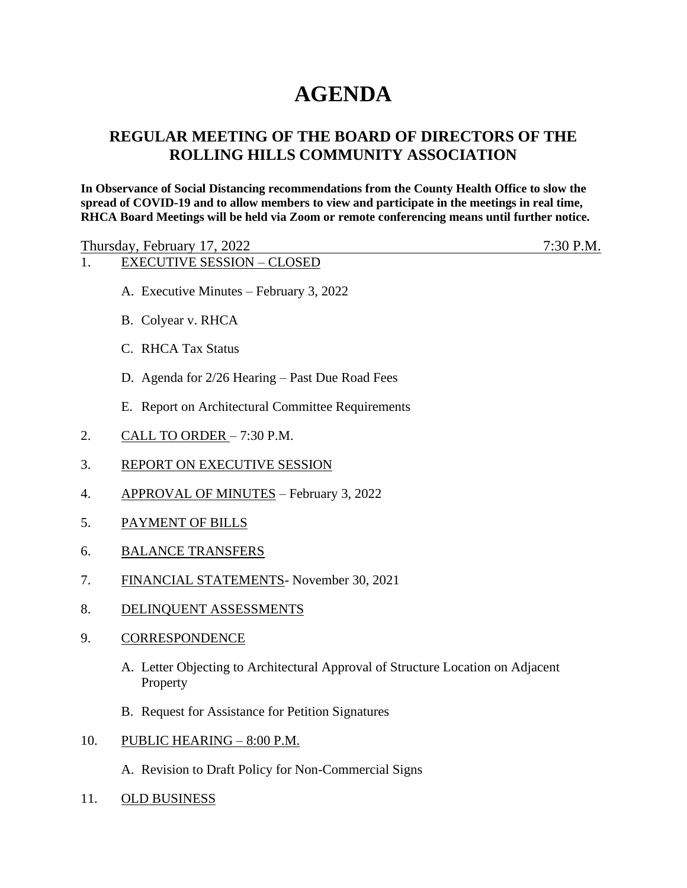## **AGENDA**

## **REGULAR MEETING OF THE BOARD OF DIRECTORS OF THE ROLLING HILLS COMMUNITY ASSOCIATION**

**In Observance of Social Distancing recommendations from the County Health Office to slow the spread of COVID-19 and to allow members to view and participate in the meetings in real time, RHCA Board Meetings will be held via Zoom or remote conferencing means until further notice.** 

Thursday, February 17, 2022 7:30 P.M.

- 1. EXECUTIVE SESSION CLOSED
	- A. Executive Minutes February 3, 2022
	- B. Colyear v. RHCA
	- C. RHCA Tax Status
	- D. Agenda for 2/26 Hearing Past Due Road Fees
	- E. Report on Architectural Committee Requirements
- 2. CALL TO ORDER 7:30 P.M.
- 3. REPORT ON EXECUTIVE SESSION
- 4. APPROVAL OF MINUTES February 3, 2022
- 5. PAYMENT OF BILLS
- 6. BALANCE TRANSFERS
- 7. FINANCIAL STATEMENTS- November 30, 2021
- 8. DELINQUENT ASSESSMENTS
- 9. CORRESPONDENCE
	- A. Letter Objecting to Architectural Approval of Structure Location on Adjacent Property
	- B. Request for Assistance for Petition Signatures
- 10. PUBLIC HEARING 8:00 P.M.
	- A. Revision to Draft Policy for Non-Commercial Signs
- 11. OLD BUSINESS